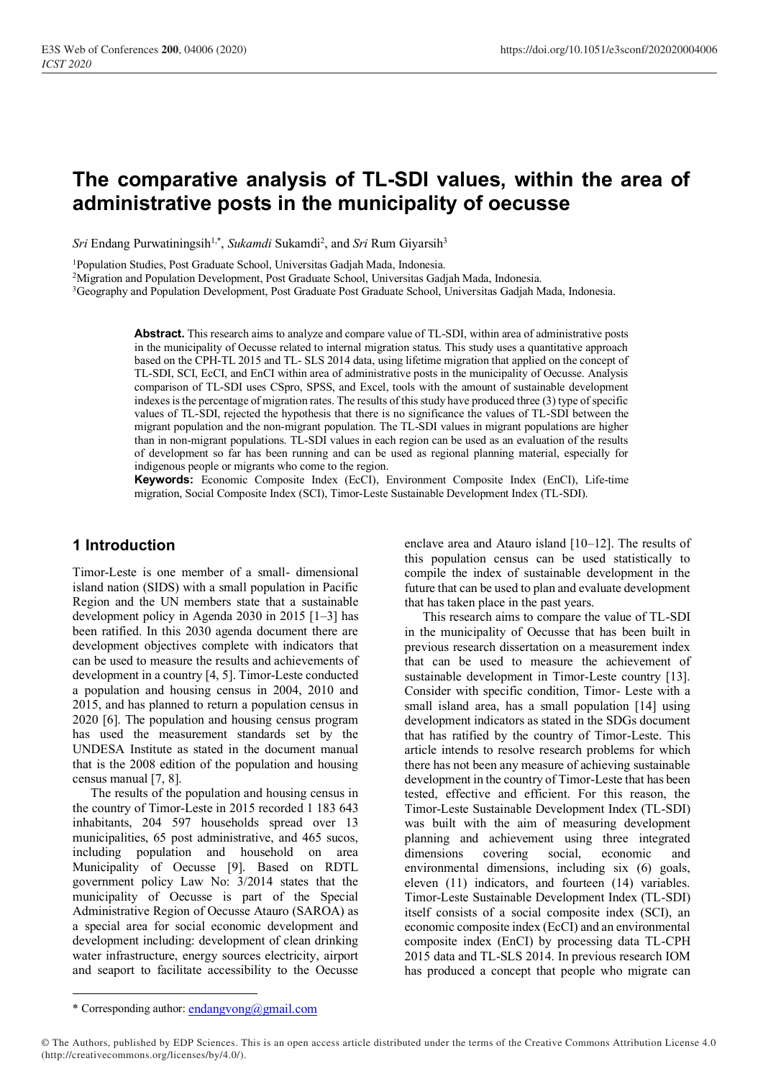# **The comparative analysis of TL-SDI values, within the area of administrative posts in the municipality of oecusse**

Sri Endang Purwatiningsih<sup>1,\*</sup>, *Sukamdi* Sukamdi<sup>2</sup>, and *Sri* Rum Giyarsih<sup>3</sup>

<sup>1</sup>Population Studies, Post Graduate School, Universitas Gadjah Mada, Indonesia.

<sup>2</sup>Migration and Population Development, Post Graduate School, Universitas Gadjah Mada, Indonesia.

<sup>3</sup>Geography and Population Development, Post Graduate Post Graduate School, Universitas Gadjah Mada, Indonesia.

**Abstract.** This research aims to analyze and compare value of TL-SDI, within area of administrative posts in the municipality of Oecusse related to internal migration status. This study uses a quantitative approach based on the CPH-TL 2015 and TL- SLS 2014 data, using lifetime migration that applied on the concept of TL-SDI, SCI, EcCI, and EnCI within area of administrative posts in the municipality of Oecusse. Analysis comparison of TL-SDI uses CSpro, SPSS, and Excel, tools with the amount of sustainable development indexes is the percentage of migration rates. The results of this study have produced three (3) type of specific values of TL-SDI, rejected the hypothesis that there is no significance the values of TL-SDI between the migrant population and the non-migrant population. The TL-SDI values in migrant populations are higher than in non-migrant populations. TL-SDI values in each region can be used as an evaluation of the results of development so far has been running and can be used as regional planning material, especially for indigenous people or migrants who come to the region.

**Keywords:** Economic Composite Index (EcCI), Environment Composite Index (EnCI), Life-time migration, Social Composite Index (SCI), Timor-Leste Sustainable Development Index (TL-SDI).

## **1 Introduction**

Timor-Leste is one member of a small- dimensional island nation (SIDS) with a small population in Pacific Region and the UN members state that a sustainable development policy in Agenda 2030 in 2015 [1–3] has been ratified. In this 2030 agenda document there are development objectives complete with indicators that can be used to measure the results and achievements of development in a country [4, 5]. Timor-Leste conducted a population and housing census in 2004, 2010 and 2015, and has planned to return a population census in 2020 [6]. The population and housing census program has used the measurement standards set by the UNDESA Institute as stated in the document manual that is the 2008 edition of the population and housing census manual [7, 8].

The results of the population and housing census in the country of Timor-Leste in 2015 recorded 1 183 643 inhabitants, 204 597 households spread over 13 municipalities, 65 post administrative, and 465 sucos, including population and household on area Municipality of Oecusse [9]. Based on RDTL government policy Law No: 3/2014 states that the municipality of Oecusse is part of the Special Administrative Region of Oecusse Atauro (SAROA) as a special area for social economic development and development including: development of clean drinking water infrastructure, energy sources electricity, airport and seaport to facilitate accessibility to the Oecusse

enclave area and Atauro island [10–12]. The results of this population census can be used statistically to compile the index of sustainable development in the future that can be used to plan and evaluate development that has taken place in the past years.

This research aims to compare the value of TL-SDI in the municipality of Oecusse that has been built in previous research dissertation on a measurement index that can be used to measure the achievement of sustainable development in Timor-Leste country [13]. Consider with specific condition, Timor- Leste with a small island area, has a small population [14] using development indicators as stated in the SDGs document that has ratified by the country of Timor-Leste. This article intends to resolve research problems for which there has not been any measure of achieving sustainable development in the country of Timor-Leste that has been tested, effective and efficient. For this reason, the Timor-Leste Sustainable Development Index (TL-SDI) was built with the aim of measuring development planning and achievement using three integrated dimensions covering social, economic and environmental dimensions, including six (6) goals, eleven (11) indicators, and fourteen (14) variables. Timor-Leste Sustainable Development Index (TL-SDI) itself consists of a social composite index (SCI), an economic composite index (EcCI) and an environmental composite index (EnCI) by processing data TL-CPH 2015 data and TL-SLS 2014. In previous research IOM has produced a concept that people who migrate can

<sup>\*</sup> Corresponding author: [endangvong@gmail.com](mailto:endangvong@gmail.com)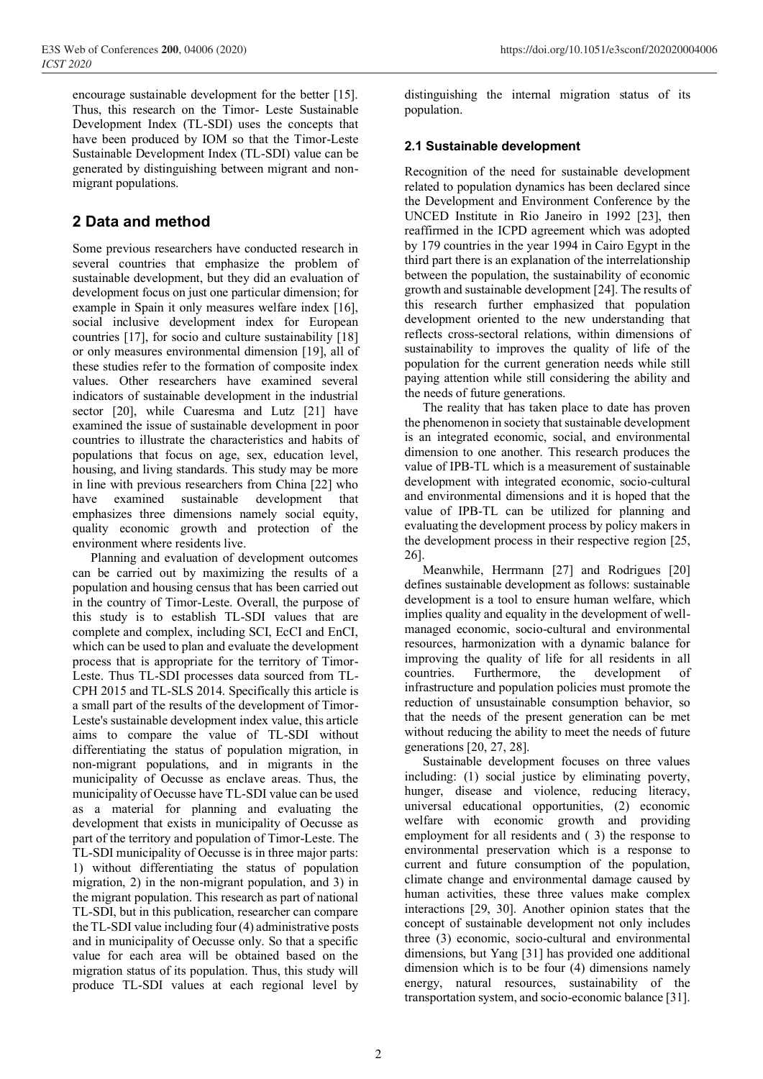encourage sustainable development for the better [15]. Thus, this research on the Timor- Leste Sustainable Development Index (TL-SDI) uses the concepts that have been produced by IOM so that the Timor-Leste Sustainable Development Index (TL-SDI) value can be generated by distinguishing between migrant and nonmigrant populations.

## **2 Data and method**

Some previous researchers have conducted research in several countries that emphasize the problem of sustainable development, but they did an evaluation of development focus on just one particular dimension; for example in Spain it only measures welfare index [16], social inclusive development index for European countries [17], for socio and culture sustainability [18] or only measures environmental dimension [19], all of these studies refer to the formation of composite index values. Other researchers have examined several indicators of sustainable development in the industrial sector [20], while Cuaresma and Lutz [21] have examined the issue of sustainable development in poor countries to illustrate the characteristics and habits of populations that focus on age, sex, education level, housing, and living standards. This study may be more in line with previous researchers from China [22] who have examined sustainable development that emphasizes three dimensions namely social equity, quality economic growth and protection of the environment where residents live.

Planning and evaluation of development outcomes can be carried out by maximizing the results of a population and housing census that has been carried out in the country of Timor-Leste. Overall, the purpose of this study is to establish TL-SDI values that are complete and complex, including SCI, EcCI and EnCI, which can be used to plan and evaluate the development process that is appropriate for the territory of Timor-Leste. Thus TL-SDI processes data sourced from TL-CPH 2015 and TL-SLS 2014. Specifically this article is a small part of the results of the development of Timor-Leste's sustainable development index value, this article aims to compare the value of TL-SDI without differentiating the status of population migration, in non-migrant populations, and in migrants in the municipality of Oecusse as enclave areas. Thus, the municipality of Oecusse have TL-SDI value can be used as a material for planning and evaluating the development that exists in municipality of Oecusse as part of the territory and population of Timor-Leste. The TL-SDI municipality of Oecusse is in three major parts: 1) without differentiating the status of population migration, 2) in the non-migrant population, and 3) in the migrant population. This research as part of national TL-SDI, but in this publication, researcher can compare the TL-SDI value including four (4) administrative posts and in municipality of Oecusse only. So that a specific value for each area will be obtained based on the migration status of its population. Thus, this study will produce TL-SDI values at each regional level by

distinguishing the internal migration status of its population.

## **2.1 Sustainable development**

Recognition of the need for sustainable development related to population dynamics has been declared since the Development and Environment Conference by the UNCED Institute in Rio Janeiro in 1992 [23], then reaffirmed in the ICPD agreement which was adopted by 179 countries in the year 1994 in Cairo Egypt in the third part there is an explanation of the interrelationship between the population, the sustainability of economic growth and sustainable development [24]. The results of this research further emphasized that population development oriented to the new understanding that reflects cross-sectoral relations, within dimensions of sustainability to improves the quality of life of the population for the current generation needs while still paying attention while still considering the ability and the needs of future generations.

The reality that has taken place to date has proven the phenomenon in society that sustainable development is an integrated economic, social, and environmental dimension to one another. This research produces the value of IPB-TL which is a measurement of sustainable development with integrated economic, socio-cultural and environmental dimensions and it is hoped that the value of IPB-TL can be utilized for planning and evaluating the development process by policy makers in the development process in their respective region [25, 26].

Meanwhile, Herrmann [27] and Rodrigues [20] defines sustainable development as follows: sustainable development is a tool to ensure human welfare, which implies quality and equality in the development of wellmanaged economic, socio-cultural and environmental resources, harmonization with a dynamic balance for improving the quality of life for all residents in all countries. Furthermore, the development of infrastructure and population policies must promote the reduction of unsustainable consumption behavior, so that the needs of the present generation can be met without reducing the ability to meet the needs of future generations [20, 27, 28].

Sustainable development focuses on three values including: (1) social justice by eliminating poverty, hunger, disease and violence, reducing literacy, universal educational opportunities, (2) economic welfare with economic growth and providing employment for all residents and ( 3) the response to environmental preservation which is a response to current and future consumption of the population, climate change and environmental damage caused by human activities, these three values make complex interactions [29, 30]. Another opinion states that the concept of sustainable development not only includes three (3) economic, socio-cultural and environmental dimensions, but Yang [31] has provided one additional dimension which is to be four (4) dimensions namely energy, natural resources, sustainability of the transportation system, and socio-economic balance [31].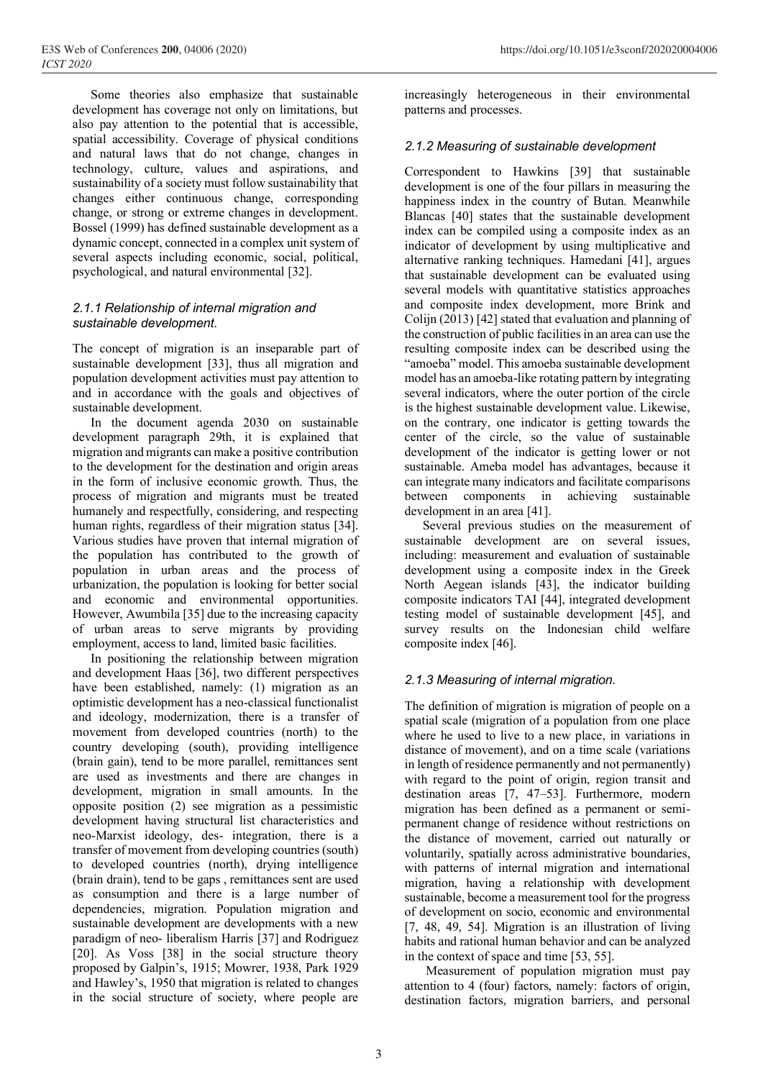development has coverage not only on limitations, but also pay attention to the potential that is accessible, spatial accessibility. Coverage of physical conditions and natural laws that do not change, changes in technology, culture, values and aspirations, and sustainability of a society must follow sustainability that changes either continuous change, corresponding change, or strong or extreme changes in development. Bossel (1999) has defined sustainable development as a dynamic concept, connected in a complex unit system of several aspects including economic, social, political, psychological, and natural environmental [32].

#### *2.1.1 Relationship of internal migration and sustainable development.*

The concept of migration is an inseparable part of sustainable development [33], thus all migration and population development activities must pay attention to and in accordance with the goals and objectives of sustainable development.

In the document agenda 2030 on sustainable development paragraph 29th, it is explained that migration and migrants can make a positive contribution to the development for the destination and origin areas in the form of inclusive economic growth. Thus, the process of migration and migrants must be treated humanely and respectfully, considering, and respecting human rights, regardless of their migration status [34]. Various studies have proven that internal migration of the population has contributed to the growth of population in urban areas and the process of urbanization, the population is looking for better social and economic and environmental opportunities. However, Awumbila [35] due to the increasing capacity of urban areas to serve migrants by providing employment, access to land, limited basic facilities.

In positioning the relationship between migration and development Haas [36], two different perspectives have been established, namely: (1) migration as an optimistic development has a neo-classical functionalist and ideology, modernization, there is a transfer of movement from developed countries (north) to the country developing (south), providing intelligence (brain gain), tend to be more parallel, remittances sent are used as investments and there are changes in development, migration in small amounts. In the opposite position (2) see migration as a pessimistic development having structural list characteristics and neo-Marxist ideology, des- integration, there is a transfer of movement from developing countries (south) to developed countries (north), drying intelligence (brain drain), tend to be gaps , remittances sent are used as consumption and there is a large number of dependencies, migration. Population migration and sustainable development are developments with a new paradigm of neo- liberalism Harris [37] and Rodriguez [20]. As Voss [38] in the social structure theory proposed by Galpin's, 1915; Mowrer, 1938, Park 1929 and Hawley's, 1950 that migration is related to changes in the social structure of society, where people are

increasingly heterogeneous in their environmental patterns and processes.

#### *2.1.2 Measuring of sustainable development*

Correspondent to Hawkins [39] that sustainable development is one of the four pillars in measuring the happiness index in the country of Butan. Meanwhile Blancas [40] states that the sustainable development index can be compiled using a composite index as an indicator of development by using multiplicative and alternative ranking techniques. Hamedani [41], argues that sustainable development can be evaluated using several models with quantitative statistics approaches and composite index development, more Brink and Colijn (2013) [42] stated that evaluation and planning of the construction of public facilities in an area can use the resulting composite index can be described using the "amoeba" model. This amoeba sustainable development model has an amoeba-like rotating pattern by integrating several indicators, where the outer portion of the circle is the highest sustainable development value. Likewise, on the contrary, one indicator is getting towards the center of the circle, so the value of sustainable development of the indicator is getting lower or not sustainable. Ameba model has advantages, because it can integrate many indicators and facilitate comparisons between components in achieving sustainable development in an area [41].

Several previous studies on the measurement of sustainable development are on several issues, including: measurement and evaluation of sustainable development using a composite index in the Greek North Aegean islands [43], the indicator building composite indicators TAI [44], integrated development testing model of sustainable development [45], and survey results on the Indonesian child welfare composite index [46].

#### *2.1.3 Measuring of internal migration.*

The definition of migration is migration of people on a spatial scale (migration of a population from one place where he used to live to a new place, in variations in distance of movement), and on a time scale (variations in length of residence permanently and not permanently) with regard to the point of origin, region transit and destination areas [7, 47–53]. Furthermore, modern migration has been defined as a permanent or semipermanent change of residence without restrictions on the distance of movement, carried out naturally or voluntarily, spatially across administrative boundaries, with patterns of internal migration and international migration, having a relationship with development sustainable, become a measurement tool for the progress of development on socio, economic and environmental [7, 48, 49, 54]. Migration is an illustration of living habits and rational human behavior and can be analyzed in the context of space and time [53, 55].

Measurement of population migration must pay attention to 4 (four) factors, namely: factors of origin, destination factors, migration barriers, and personal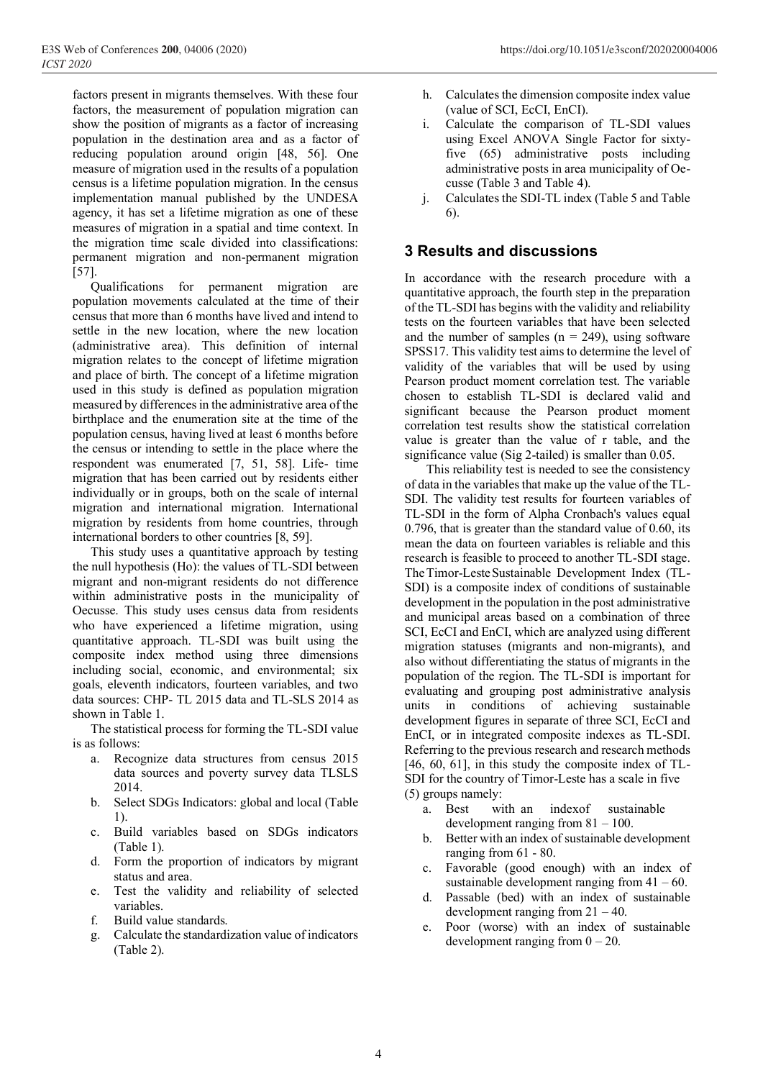factors present in migrants themselves. With these four factors, the measurement of population migration can show the position of migrants as a factor of increasing population in the destination area and as a factor of reducing population around origin [48, 56]. One measure of migration used in the results of a population census is a lifetime population migration. In the census implementation manual published by the UNDESA agency, it has set a lifetime migration as one of these measures of migration in a spatial and time context. In the migration time scale divided into classifications: permanent migration and non-permanent migration [57].

Qualifications for permanent migration are population movements calculated at the time of their census that more than 6 months have lived and intend to settle in the new location, where the new location (administrative area). This definition of internal migration relates to the concept of lifetime migration and place of birth. The concept of a lifetime migration used in this study is defined as population migration measured by differences in the administrative area of the birthplace and the enumeration site at the time of the population census, having lived at least 6 months before the census or intending to settle in the place where the respondent was enumerated [7, 51, 58]. Life- time migration that has been carried out by residents either individually or in groups, both on the scale of internal migration and international migration. International migration by residents from home countries, through international borders to other countries [8, 59].

This study uses a quantitative approach by testing the null hypothesis (Ho): the values of TL-SDI between migrant and non-migrant residents do not difference within administrative posts in the municipality of Oecusse. This study uses census data from residents who have experienced a lifetime migration, using quantitative approach. TL-SDI was built using the composite index method using three dimensions including social, economic, and environmental; six goals, eleventh indicators, fourteen variables, and two data sources: CHP- TL 2015 data and TL-SLS 2014 as shown in Table 1.

The statistical process for forming the TL-SDI value is as follows:

- a. Recognize data structures from census 2015 data sources and poverty survey data TLSLS 2014.
- b. Select SDGs Indicators: global and local (Table 1).
- c. Build variables based on SDGs indicators (Table 1).
- d. Form the proportion of indicators by migrant status and area.
- e. Test the validity and reliability of selected variables.
- f. Build value standards.
- g. Calculate the standardization value of indicators (Table 2).
- h. Calculates the dimension composite index value (value of SCI, EcCI, EnCI).
- i. Calculate the comparison of TL-SDI values using Excel ANOVA Single Factor for sixtyfive (65) administrative posts including administrative posts in area municipality of Oecusse (Table 3 and Table 4).
- j. Calculates the SDI-TL index (Table 5 and Table 6).

## **3 Results and discussions**

In accordance with the research procedure with a quantitative approach, the fourth step in the preparation of the TL-SDI has begins with the validity and reliability tests on the fourteen variables that have been selected and the number of samples  $(n = 249)$ , using software SPSS17. This validity test aims to determine the level of validity of the variables that will be used by using Pearson product moment correlation test. The variable chosen to establish TL-SDI is declared valid and significant because the Pearson product moment correlation test results show the statistical correlation value is greater than the value of r table, and the significance value (Sig 2-tailed) is smaller than 0.05.

This reliability test is needed to see the consistency of data in the variables that make up the value of the TL-SDI. The validity test results for fourteen variables of TL-SDI in the form of Alpha Cronbach's values equal 0.796, that is greater than the standard value of 0.60, its mean the data on fourteen variables is reliable and this research is feasible to proceed to another TL-SDI stage. TheTimor-LesteSustainable Development Index (TL-SDI) is a composite index of conditions of sustainable development in the population in the post administrative and municipal areas based on a combination of three SCI, EcCI and EnCI, which are analyzed using different migration statuses (migrants and non-migrants), and also without differentiating the status of migrants in the population of the region. The TL-SDI is important for evaluating and grouping post administrative analysis units in conditions of achieving sustainable development figures in separate of three SCI, EcCI and EnCI, or in integrated composite indexes as TL-SDI. Referring to the previous research and research methods [46, 60, 61], in this study the composite index of TL-SDI for the country of Timor-Leste has a scale in five (5) groups namely:

- a. Best with an indexof sustainable development ranging from  $81 - 100$ .
- b. Better with an index of sustainable development ranging from 61 - 80.
- c. Favorable (good enough) with an index of sustainable development ranging from  $41 - 60$ .
- d. Passable (bed) with an index of sustainable development ranging from  $21 - 40$ .
- e. Poor (worse) with an index of sustainable development ranging from  $0 - 20$ .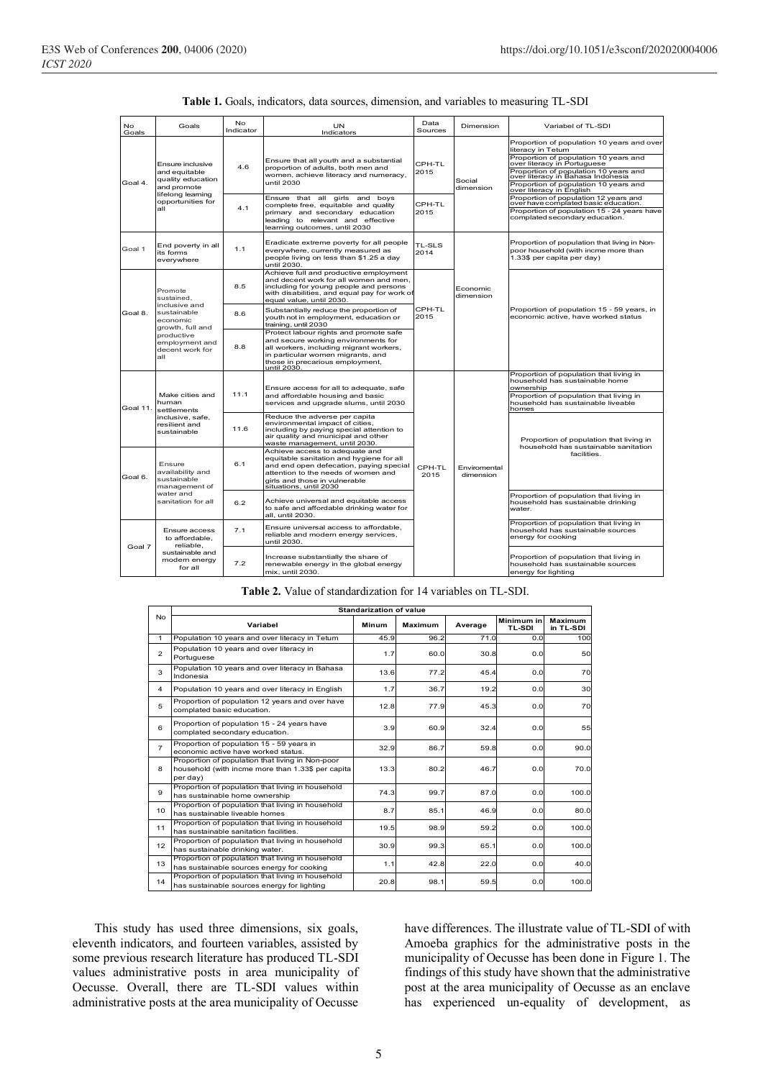| No<br>Goals       | Goals                                                                                                                                                                                        | <b>No</b><br>Indicator | <b>UN</b><br>Indicators                                                                                                                                                                                                 | Data<br>Sources | Dimension                 | Variabel of TL-SDI                                                                                                                                                                                                                                                                         |  |
|-------------------|----------------------------------------------------------------------------------------------------------------------------------------------------------------------------------------------|------------------------|-------------------------------------------------------------------------------------------------------------------------------------------------------------------------------------------------------------------------|-----------------|---------------------------|--------------------------------------------------------------------------------------------------------------------------------------------------------------------------------------------------------------------------------------------------------------------------------------------|--|
| Goal 4.           | Ensure inclusive<br>and equitable<br>quality education<br>and promote                                                                                                                        | 4.6                    | Ensure that all youth and a substantial<br>proportion of adults, both men and<br>women, achieve literacy and numeracy,<br>until 2030                                                                                    | CPH-TL<br>2015  | Social<br>dimension       | Proportion of population 10 years and over<br>literacy in Tetum<br>Proportion of population 10 years and<br>over literacy in Portuguese<br>Proportion of population 10 years and<br>over literacy in Bahasa Indonesia<br>Proportion of population 10 years and<br>over literacy in English |  |
|                   | lifelong learning<br>opportunities for<br>all                                                                                                                                                | 4.1                    | Ensure that all girls and boys<br>complete free, equitable and quality<br>primary and secondary education<br>leading to relevant and effective<br>learning outcomes, until 2030                                         | CPH-TL<br>2015  |                           | Proportion of population 12 years and<br>over have complated basic education.<br>Proportion of population 15 - 24 years have<br>complated secondary education.                                                                                                                             |  |
| Goal 1            | End poverty in all<br>its forms<br>everywhere                                                                                                                                                | 1.1                    | Eradicate extreme poverty for all people<br>everywhere, currently measured as<br>people living on less than \$1.25 a day<br>until 2030.                                                                                 | TL-SLS<br>2014  |                           | Proportion of population that living in Non-<br>poor household (with incme more than<br>1.33\$ per capita per day)                                                                                                                                                                         |  |
|                   | Promote<br>sustained,                                                                                                                                                                        | 8.5                    | Achieve full and productive employment<br>and decent work for all women and men,<br>including for young people and persons<br>with disabilities, and equal pay for work of<br>equal value, until 2030.                  |                 | Economic<br>dimension     |                                                                                                                                                                                                                                                                                            |  |
| Goal 8.           | inclusive and<br>sustainable<br>economic<br>growth, full and<br>productive<br>employment and<br>decent work for<br>all                                                                       | 8.6                    | Substantially reduce the proportion of<br>youth not in employment, education or<br>training, until 2030                                                                                                                 | CPH-TL<br>2015  |                           | Proportion of population 15 - 59 years, in<br>economic active, have worked status                                                                                                                                                                                                          |  |
|                   |                                                                                                                                                                                              | 8.8                    | Protect labour rights and promote safe<br>and secure working environments for<br>all workers, including migrant workers,<br>in particular women migrants, and<br>those in precarious employment,<br>until 2030.         |                 |                           |                                                                                                                                                                                                                                                                                            |  |
|                   | Make cities and<br>human<br>settlements<br>inclusive, safe,<br>resilient and<br>sustainable<br>Ensure<br>availability and<br>sustainable<br>management of<br>water and<br>sanitation for all |                        | Ensure access for all to adequate, safe                                                                                                                                                                                 |                 | Enviromental<br>dimension | Proportion of population that living in<br>household has sustainable home<br>ownership                                                                                                                                                                                                     |  |
| Goal 11.          |                                                                                                                                                                                              | 11.1                   | and affordable housing and basic<br>services and upgrade slums, until 2030                                                                                                                                              |                 |                           | Proportion of population that living in<br>household has sustainable liveable<br>homes                                                                                                                                                                                                     |  |
|                   |                                                                                                                                                                                              | 11.6                   | Reduce the adverse per capita<br>environmental impact of cities,<br>including by paying special attention to<br>air quality and municipal and other<br>waste management, until 2030.                                    |                 |                           | Proportion of population that living in<br>household has sustainable sanitation                                                                                                                                                                                                            |  |
| Goal 6.<br>Goal 7 |                                                                                                                                                                                              | 6.1                    | Achieve access to adequate and<br>equitable sanitation and hygiene for all<br>and end open defecation, paying special<br>attention to the needs of women and<br>girls and those in vulnerable<br>situations, until 2030 | CPH-TL<br>2015  |                           | facilities.                                                                                                                                                                                                                                                                                |  |
|                   |                                                                                                                                                                                              | 6.2                    | Achieve universal and equitable access<br>to safe and affordable drinking water for<br>all. until 2030.                                                                                                                 |                 |                           | Proportion of population that living in<br>household has sustainable drinking<br>water.                                                                                                                                                                                                    |  |
|                   | Ensure access<br>to affordable,<br>reliable.                                                                                                                                                 | 7.1                    | Ensure universal access to affordable,<br>reliable and modern energy services,<br>until 2030.                                                                                                                           |                 |                           | Proportion of population that living in<br>household has sustainable sources<br>energy for cooking                                                                                                                                                                                         |  |
|                   | sustainable and<br>modern energy<br>for all                                                                                                                                                  | 7.2                    | Increase substantially the share of<br>renewable energy in the global energy<br>mix. until 2030.                                                                                                                        |                 |                           | Proportion of population that living in<br>household has sustainable sources<br>energy for lighting                                                                                                                                                                                        |  |

|  |  | <b>Table 1.</b> Goals, indicators, data sources, dimension, and variables to measuring TL-SDI |  |
|--|--|-----------------------------------------------------------------------------------------------|--|
|  |  |                                                                                               |  |

#### **Table 2.** Value of standardization for 14 variables on TL-SDI.

|                | <b>Standarization of value</b>                                                                                    |       |                |         |                             |                             |  |  |  |
|----------------|-------------------------------------------------------------------------------------------------------------------|-------|----------------|---------|-----------------------------|-----------------------------|--|--|--|
| <b>No</b>      | Variabel                                                                                                          | Minum | <b>Maximum</b> | Average | Minimum in<br><b>TL-SDI</b> | <b>Maximum</b><br>in TL-SDI |  |  |  |
| 1              | Population 10 years and over literacy in Tetum                                                                    | 45.9  | 96.2           | 71.0    | 0.0                         | 100                         |  |  |  |
| $\mathfrak{p}$ | Population 10 years and over literacy in<br>Portuguese                                                            | 1.7   | 60.0           | 30.8    | 0.0                         | 50                          |  |  |  |
| 3              | Population 10 years and over literacy in Bahasa<br>Indonesia                                                      | 13.6  | 77.2           | 45.4    | 0.0                         | 70                          |  |  |  |
| 4              | Population 10 years and over literacy in English                                                                  | 1.7   | 36.7           | 19.2    | 0.0                         | 30                          |  |  |  |
| 5              | Proportion of population 12 years and over have<br>complated basic education.                                     | 12.8  | 77.9           | 45.3    | 0.0                         | 70                          |  |  |  |
| 6              | Proportion of population 15 - 24 years have<br>complated secondary education.                                     | 3.9   | 60.9           | 32.4    | 0.0                         | 55                          |  |  |  |
| $\overline{7}$ | Proportion of population 15 - 59 years in<br>economic active have worked status.                                  | 32.9  | 86.7           | 59.8    | 0.0                         | 90.0                        |  |  |  |
| 8              | Proportion of population that living in Non-poor<br>household (with incme more than 1.33\$ per capita<br>per day) | 13.3  | 80.2           | 46.7    | 0.0                         | 70.0                        |  |  |  |
| 9              | Proportion of population that living in household<br>has sustainable home ownership                               | 74.3  | 99.7           | 87.0    | 0.0                         | 100.0                       |  |  |  |
| 10             | Proportion of population that living in household<br>has sustainable liveable homes                               | 8.7   | 85.1           | 46.9    | 0.0                         | 80.0                        |  |  |  |
| 11             | Proportion of population that living in household<br>has sustainable sanitation facilities.                       | 19.5  | 98.9           | 59.2    | 0.0                         | 100.0                       |  |  |  |
| 12             | Proportion of population that living in household<br>has sustainable drinking water.                              | 30.9  | 99.3           | 65.1    | 0.0                         | 100.0                       |  |  |  |
| 13             | Proportion of population that living in household<br>has sustainable sources energy for cooking                   | 1.1   | 42.8           | 22.0    | 0.0                         | 40.0                        |  |  |  |
| 14             | Proportion of population that living in household<br>has sustainable sources energy for lighting                  | 20.8  | 98.1           | 59.5    | 0.0                         | 100.0                       |  |  |  |

This study has used three dimensions, six goals, eleventh indicators, and fourteen variables, assisted by some previous research literature has produced TL-SDI values administrative posts in area municipality of Oecusse. Overall, there are TL-SDI values within administrative posts at the area municipality of Oecusse

have differences. The illustrate value of TL-SDI of with Amoeba graphics for the administrative posts in the municipality of Oecusse has been done in Figure 1. The findings of this study have shown that the administrative post at the area municipality of Oecusse as an enclave has experienced un-equality of development, as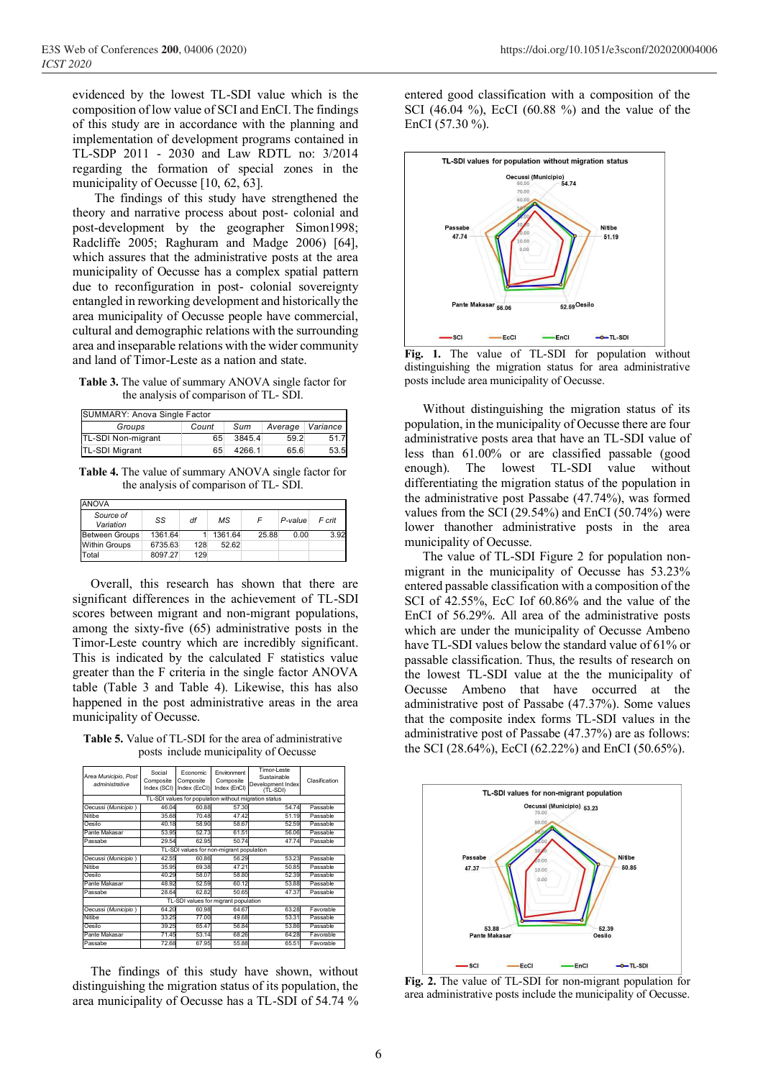evidenced by the lowest TL-SDI value which is the composition of low value of SCI and EnCI. The findings of this study are in accordance with the planning and implementation of development programs contained in TL-SDP 2011 - 2030 and Law RDTL no: 3/2014 regarding the formation of special zones in the municipality of Oecusse [10, 62, 63].

The findings of this study have strengthened the theory and narrative process about post- colonial and post-development by the geographer Simon1998; Radcliffe 2005; Raghuram and Madge 2006) [64], which assures that the administrative posts at the area municipality of Oecusse has a complex spatial pattern due to reconfiguration in post- colonial sovereignty entangled in reworking development and historically the area municipality of Oecusse people have commercial, cultural and demographic relations with the surrounding area and inseparable relations with the wider community and land of Timor-Leste as a nation and state.

**Table 3.** The value of summary ANOVA single factor for the analysis of comparison of TL- SDI.

| SUMMARY: Anova Single Factor |       |        |         |          |  |  |
|------------------------------|-------|--------|---------|----------|--|--|
| Groups                       | Count | Sum    | Average | Variance |  |  |
| TL-SDI Non-migrant           | 65    | 3845.4 | 59.2    | 51.7     |  |  |
| <b>TL-SDI Migrant</b>        | 65    | 4266.1 | 65.6    | 53.5     |  |  |

**Table 4.** The value of summary ANOVA single factor for the analysis of comparison of TL- SDI.

| <b>ANOVA</b>           |         |     |         |       |         |        |
|------------------------|---------|-----|---------|-------|---------|--------|
| Source of<br>Variation | SS      | df  | мs      |       | P-value | F crit |
| <b>Between Groups</b>  | 1361.64 |     | 1361.64 | 25.88 | 0.00    | 3.92   |
| <b>Within Groups</b>   | 6735.63 | 128 | 52.62   |       |         |        |
| Total                  | 8097.27 | 129 |         |       |         |        |

Overall, this research has shown that there are significant differences in the achievement of TL-SDI scores between migrant and non-migrant populations, among the sixty-five (65) administrative posts in the Timor-Leste country which are incredibly significant. This is indicated by the calculated F statistics value greater than the F criteria in the single factor ANOVA table (Table 3 and Table 4). Likewise, this has also happened in the post administrative areas in the area municipality of Oecusse.

**Table 5.** Value of TL-SDI for the area of administrative posts include municipality of Oecusse

| Area Municipio, Post<br>administrative   | Social<br>Composite<br>Index (SCI)   | Fconomic<br>Composite<br>Index (EcCI) | Environment<br>Composite<br>Index (EnCI)              | Timor-I este<br>Sustainable<br>Development Index<br>(TL-SDI) | Clasification |  |  |
|------------------------------------------|--------------------------------------|---------------------------------------|-------------------------------------------------------|--------------------------------------------------------------|---------------|--|--|
|                                          |                                      |                                       | TL-SDI values for population without migration status |                                                              |               |  |  |
| Oecussi (Municipio)                      | 46.04                                | 60.88                                 | 57.30                                                 | 54.74                                                        | Passable      |  |  |
| <b>Nitibe</b>                            | 35.68                                | 70.48                                 | 47.42                                                 | 51.19                                                        | Passable      |  |  |
| Oesilo                                   | 40.18                                | 58.90                                 | 58.67                                                 | 52.59                                                        | Passable      |  |  |
| Pante Makasar                            | 53.95                                | 52.73                                 | 61.51                                                 | 56.06                                                        | Passable      |  |  |
| Passabe                                  | 29.54                                | 62.95                                 | 50.74                                                 | 47.74                                                        | Passable      |  |  |
| TL-SDI values for non-migrant population |                                      |                                       |                                                       |                                                              |               |  |  |
| Oecussi (Municipio)                      | 42.55                                | 60.86                                 | 56.29                                                 | 53.23                                                        | Passable      |  |  |
| Nitibe                                   | 35.95                                | 69.38                                 | 47.21                                                 | 50.85                                                        | Passable      |  |  |
| Oesilo                                   | 40.29                                | 58.07                                 | 58.80                                                 | 52.39                                                        | Passable      |  |  |
| Pante Makasar                            | 48.92                                | 52.59                                 | 60.12                                                 | 53.88                                                        | Passable      |  |  |
| Passabe                                  | 28.64                                | 62.82                                 | 50.65                                                 | 47.37                                                        | Passable      |  |  |
|                                          | TL-SDI values for migrant population |                                       |                                                       |                                                              |               |  |  |
| Oecussi (Municipio)                      | 64.20                                | 60.98                                 | 64.67                                                 | 63.28                                                        | Favorable     |  |  |
| <b>Nitibe</b>                            | 33.25                                | 77.00                                 | 49.68                                                 | 53.31                                                        | Passable      |  |  |
| Oesilo                                   | 39.25                                | 65.47                                 | 56.84                                                 | 53.86                                                        | Passable      |  |  |
| Pante Makasar                            | 71.45                                | 53.14                                 | 68.26                                                 | 64.28                                                        | Favorable     |  |  |
| Passabe                                  | 72.68                                | 67.95                                 | 55.88                                                 | 65.51                                                        | Favorable     |  |  |

The findings of this study have shown, without distinguishing the migration status of its population, the area municipality of Oecusse has a TL-SDI of 54.74 % entered good classification with a composition of the SCI (46.04 %), EcCI (60.88 %) and the value of the EnCI (57.30 %).



Fig. 1. The value of TL-SDI for population without distinguishing the migration status for area administrative posts include area municipality of Oecusse.

Without distinguishing the migration status of its population, in the municipality of Oecusse there are four administrative posts area that have an TL-SDI value of less than 61.00% or are classified passable (good enough). The lowest TL-SDI value without differentiating the migration status of the population in the administrative post Passabe (47.74%), was formed values from the SCI (29.54%) and EnCI (50.74%) were lower thanother administrative posts in the area municipality of Oecusse.

The value of TL-SDI Figure 2 for population nonmigrant in the municipality of Oecusse has 53.23% entered passable classification with a composition of the SCI of 42.55%, EcC Iof 60.86% and the value of the EnCI of 56.29%. All area of the administrative posts which are under the municipality of Oecusse Ambeno have TL-SDI values below the standard value of 61% or passable classification. Thus, the results of research on the lowest TL-SDI value at the the municipality of Oecusse Ambeno that have occurred at the administrative post of Passabe (47.37%). Some values that the composite index forms TL-SDI values in the administrative post of Passabe (47.37%) are as follows: the SCI (28.64%), EcCI (62.22%) and EnCI (50.65%).



**Fig. 2.** The value of TL-SDI for non-migrant population for area administrative posts include the municipality of Oecusse.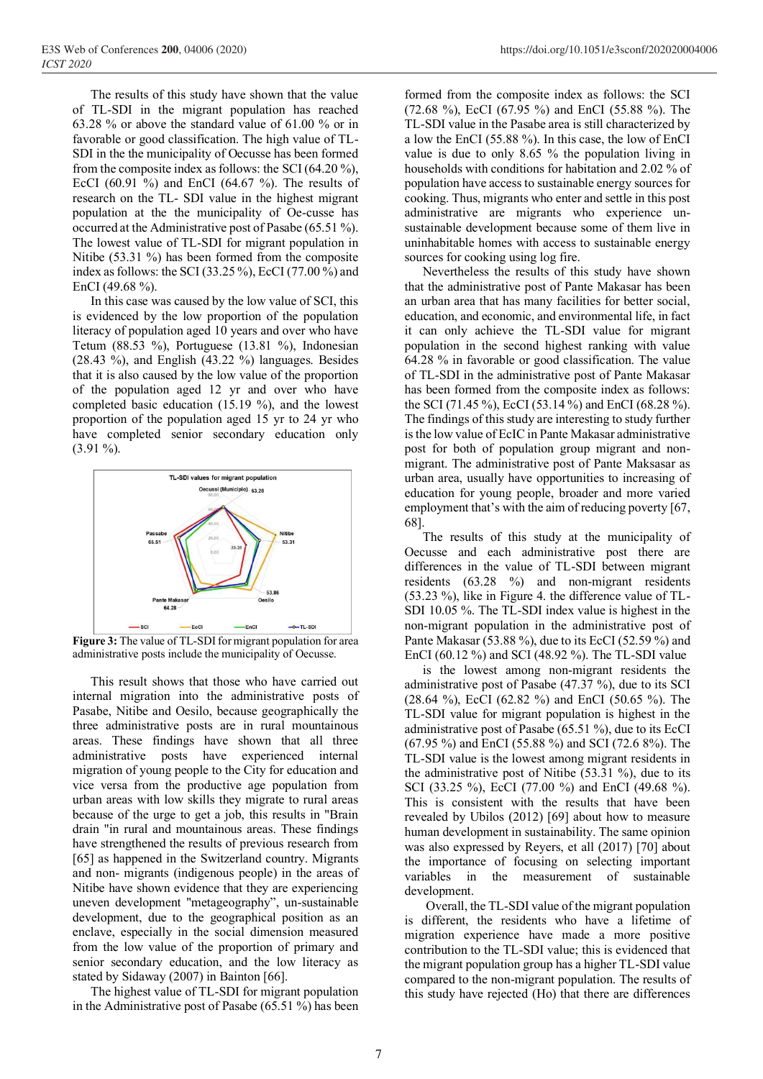The results of this study have shown that the value of TL-SDI in the migrant population has reached 63.28 % or above the standard value of 61.00 % or in favorable or good classification. The high value of TL-SDI in the the municipality of Oecusse has been formed from the composite index as follows: the SCI (64.20 %), EcCI (60.91 %) and EnCI (64.67 %). The results of research on the TL- SDI value in the highest migrant population at the the municipality of Oe-cusse has occurred at the Administrative post of Pasabe (65.51 %). The lowest value of TL-SDI for migrant population in Nitibe (53.31 %) has been formed from the composite index as follows: the SCI (33.25 %), EcCI (77.00 %) and EnCI (49.68 %).

In this case was caused by the low value of SCI, this is evidenced by the low proportion of the population literacy of population aged 10 years and over who have Tetum (88.53 %), Portuguese (13.81 %), Indonesian (28.43 %), and English (43.22 %) languages. Besides that it is also caused by the low value of the proportion of the population aged 12 yr and over who have completed basic education (15.19 %), and the lowest proportion of the population aged 15 yr to 24 yr who have completed senior secondary education only (3.91 %).



**Figure 3:** The value of TL-SDI for migrant population for area administrative posts include the municipality of Oecusse.

This result shows that those who have carried out internal migration into the administrative posts of Pasabe, Nitibe and Oesilo, because geographically the three administrative posts are in rural mountainous areas. These findings have shown that all three administrative posts have experienced internal migration of young people to the City for education and vice versa from the productive age population from urban areas with low skills they migrate to rural areas because of the urge to get a job, this results in "Brain drain "in rural and mountainous areas. These findings have strengthened the results of previous research from [65] as happened in the Switzerland country. Migrants and non- migrants (indigenous people) in the areas of Nitibe have shown evidence that they are experiencing uneven development "metageography", un-sustainable development, due to the geographical position as an enclave, especially in the social dimension measured from the low value of the proportion of primary and senior secondary education, and the low literacy as stated by Sidaway (2007) in Bainton [66].

The highest value of TL-SDI for migrant population in the Administrative post of Pasabe (65.51 %) has been formed from the composite index as follows: the SCI (72.68 %), EcCI (67.95 %) and EnCI (55.88 %). The TL-SDI value in the Pasabe area is still characterized by a low the EnCI (55.88 %). In this case, the low of EnCI value is due to only 8.65 % the population living in households with conditions for habitation and 2.02 % of population have access to sustainable energy sources for cooking. Thus, migrants who enter and settle in this post administrative are migrants who experience unsustainable development because some of them live in uninhabitable homes with access to sustainable energy sources for cooking using log fire.

Nevertheless the results of this study have shown that the administrative post of Pante Makasar has been an urban area that has many facilities for better social, education, and economic, and environmental life, in fact it can only achieve the TL-SDI value for migrant population in the second highest ranking with value 64.28 % in favorable or good classification. The value of TL-SDI in the administrative post of Pante Makasar has been formed from the composite index as follows: the SCI (71.45 %), EcCI (53.14 %) and EnCI (68.28 %). The findings of this study are interesting to study further is the low value of EcIC in Pante Makasar administrative post for both of population group migrant and nonmigrant. The administrative post of Pante Maksasar as urban area, usually have opportunities to increasing of education for young people, broader and more varied employment that's with the aim of reducing poverty [67, 68].

The results of this study at the municipality of Oecusse and each administrative post there are differences in the value of TL-SDI between migrant residents (63.28 %) and non-migrant residents (53.23 %), like in Figure 4. the difference value of TL-SDI 10.05 %. The TL-SDI index value is highest in the non-migrant population in the administrative post of Pante Makasar (53.88 %), due to its EcCI (52.59 %) and EnCI (60.12 %) and SCI (48.92 %). The TL-SDI value

is the lowest among non-migrant residents the administrative post of Pasabe (47.37 %), due to its SCI (28.64 %), EcCI (62.82 %) and EnCI (50.65 %). The TL-SDI value for migrant population is highest in the administrative post of Pasabe (65.51 %), due to its EcCI (67.95 %) and EnCI (55.88 %) and SCI (72.6 8%). The TL-SDI value is the lowest among migrant residents in the administrative post of Nitibe (53.31 %), due to its SCI (33.25 %), EcCI (77.00 %) and EnCI (49.68 %). This is consistent with the results that have been revealed by Ubilos (2012) [69] about how to measure human development in sustainability. The same opinion was also expressed by Reyers, et all (2017) [70] about the importance of focusing on selecting important variables in the measurement of sustainable development.

Overall, the TL-SDI value of the migrant population is different, the residents who have a lifetime of migration experience have made a more positive contribution to the TL-SDI value; this is evidenced that the migrant population group has a higher TL-SDI value compared to the non-migrant population. The results of this study have rejected (Ho) that there are differences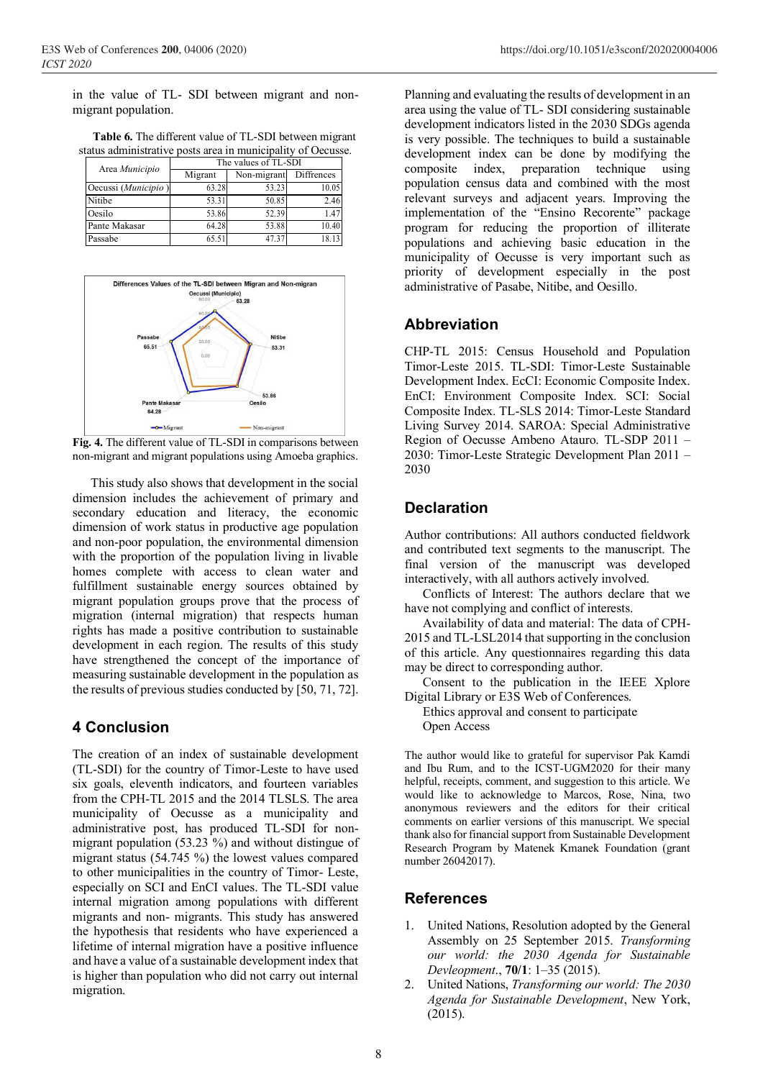in the value of TL- SDI between migrant and nonmigrant population.

**Table .** The different value of TL-SDI between migrant **6**status administrative posts area in municipality of Oecusse.

| $\alpha$ and $\alpha$ and $\alpha$ and $\alpha$ and $\alpha$ and $\alpha$ in the interpretative of Occurs |                      |             |            |  |  |  |  |
|-----------------------------------------------------------------------------------------------------------|----------------------|-------------|------------|--|--|--|--|
|                                                                                                           | The values of TL-SDI |             |            |  |  |  |  |
| Area Municipio                                                                                            | Migrant              | Non-migrant | Diffrences |  |  |  |  |
| Oecussi (Municipio)                                                                                       | 63.28                | 53.23       | 10.05      |  |  |  |  |
| Nitibe                                                                                                    | 53.31                | 50.85       | 2.46       |  |  |  |  |
| Oesilo                                                                                                    | 53.86                | 52.39       | 1.47       |  |  |  |  |
| Pante Makasar                                                                                             | 64.28                | 53.88       | 10.40      |  |  |  |  |
| Passabe                                                                                                   | 65.51                | 47.37       | 18.13      |  |  |  |  |



**Fig. 4.** The different value of TL-SDI in comparisons between non-migrant and migrant populations using Amoeba graphics.

This study also shows that development in the social dimension includes the achievement of primary and secondary education and literacy, the economic dimension of work status in productive age population and non-poor population, the environmental dimension with the proportion of the population living in livable homes complete with access to clean water and fulfillment sustainable energy sources obtained by migrant population groups prove that the process of migration (internal migration) that respects human rights has made a positive contribution to sustainable development in each region. The results of this study have strengthened the concept of the importance of measuring sustainable development in the population as the results of previous studies conducted by [50, 71, 72].

#### **4 Conclusion**

The creation of an index of sustainable development (TL-SDI) for the country of Timor-Leste to have used six goals, eleventh indicators, and fourteen variables from the CPH-TL 2015 and the 2014 TLSLS. The area municipality of Oecusse as a municipality and administrative post, has produced TL-SDI for nonmigrant population (53.23 %) and without distingue of migrant status (54.745 %) the lowest values compared to other municipalities in the country of Timor- Leste, especially on SCI and EnCI values. The TL-SDI value internal migration among populations with different migrants and non- migrants. This study has answered the hypothesis that residents who have experienced a lifetime of internal migration have a positive influence and have a value of a sustainable development index that is higher than population who did not carry out internal migration.

Planning and evaluating the results of development in an area using the value of TL- SDI considering sustainable development indicators listed in the 2030 SDGs agenda is very possible. The techniques to build a sustainable development index can be done by modifying the composite index, preparation technique using population census data and combined with the most relevant surveys and adjacent years. Improving the implementation of the "Ensino Recorente" package program for reducing the proportion of illiterate populations and achieving basic education in the municipality of Oecusse is very important such as priority of development especially in the post administrative of Pasabe, Nitibe, and Oesillo.

#### **Abbreviation**

CHP-TL 2015: Census Household and Population Timor-Leste 2015. TL-SDI: Timor-Leste Sustainable Development Index. EcCI: Economic Composite Index. EnCI: Environment Composite Index. SCI: Social Composite Index. TL-SLS 2014: Timor-Leste Standard Living Survey 2014. SAROA: Special Administrative Region of Oecusse Ambeno Atauro. TL-SDP 2011 – 2030: Timor-Leste Strategic Development Plan 2011 – 2030

## **Declaration**

Author contributions: All authors conducted fieldwork and contributed text segments to the manuscript. The final version of the manuscript was developed interactively, with all authors actively involved.

Conflicts of Interest: The authors declare that we have not complying and conflict of interests.

Availability of data and material: The data of CPH-2015 and TL-LSL2014 that supporting in the conclusion of this article. Any questionnaires regarding this data may be direct to corresponding author.

Consent to the publication in the IEEE Xplore Digital Library or E3S Web of Conferences.

Ethics approval and consent to participate

Open Access

The author would like to grateful for supervisor Pak Kamdi and Ibu Rum, and to the ICST-UGM2020 for their many helpful, receipts, comment, and suggestion to this article. We would like to acknowledge to Marcos, Rose, Nina, two anonymous reviewers and the editors for their critical comments on earlier versions of this manuscript. We special thank also for financial support from Sustainable Development Research Program by Matenek Kmanek Foundation (grant number 26042017).

## **References**

- 1. United Nations, Resolution adopted by the General Assembly on 25 September 2015. *Transforming our world: the 2030 Agenda for Sustainable Devleopment*., **70/1**: 1–35 (2015).
- 2. United Nations, *Transforming our world: The 2030 Agenda for Sustainable Development*, New York, (2015).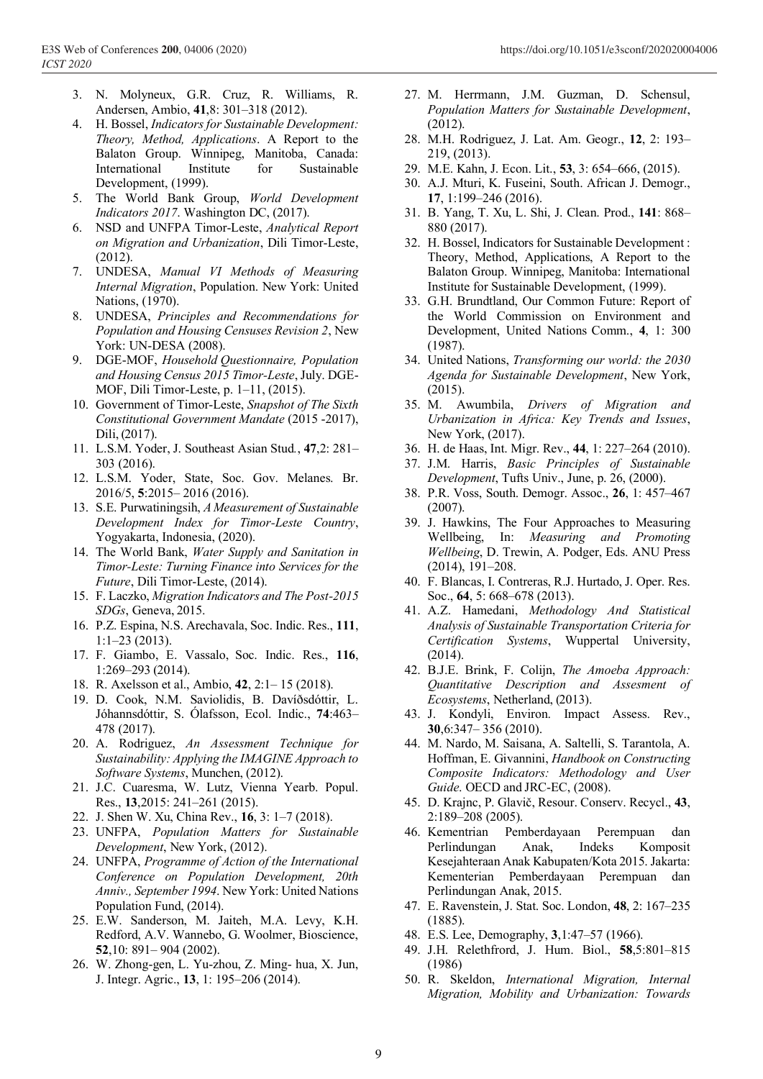- 3. N. Molyneux, G.R. Cruz, R. Williams, R. Andersen, Ambio, **41**,8: 301–318 (2012).
- 4. H. Bossel, *Indicators for Sustainable Development: Theory, Method, Applications*. A Report to the Balaton Group. Winnipeg, Manitoba, Canada: International Institute for Sustainable Development, (1999).
- 5. The World Bank Group, *World Development Indicators 2017*. Washington DC, (2017).
- 6. NSD and UNFPA Timor-Leste, *Analytical Report on Migration and Urbanization*, Dili Timor-Leste, (2012).
- 7. UNDESA, *Manual VI Methods of Measuring Internal Migration*, Population. New York: United Nations, (1970).
- 8. UNDESA, *Principles and Recommendations for Population and Housing Censuses Revision 2*, New York: UN-DESA (2008).
- 9. DGE-MOF, *Household Questionnaire, Population and Housing Census 2015 Timor-Leste*, July. DGE-MOF, Dili Timor-Leste, p. 1–11, (2015).
- 10. Government of Timor-Leste, *Snapshot of The Sixth Constitutional Government Mandate* (2015 -2017), Dili, (2017).
- 11. L.S.M. Yoder, J. Southeast Asian Stud*.*, **47**,2: 281– 303 (2016).
- 12. L.S.M. Yoder, State, Soc. Gov. Melanes. Br. 2016/5, **5**:2015– 2016 (2016).
- 13. S.E. Purwatiningsih, *A Measurement of Sustainable Development Index for Timor-Leste Country*, Yogyakarta, Indonesia, (2020).
- 14. The World Bank, *Water Supply and Sanitation in Timor-Leste: Turning Finance into Services for the Future*, Dili Timor-Leste, (2014).
- 15. F. Laczko, *Migration Indicators and The Post-2015 SDGs*, Geneva, 2015.
- 16. P.Z. Espina, N.S. Arechavala, Soc. Indic. Res., **111**, 1:1–23 (2013).
- 17. F. Giambo, E. Vassalo, Soc. Indic. Res., **116**, 1:269–293 (2014).
- 18. R. Axelsson et al., Ambio, **42**, 2:1– 15 (2018).
- 19. D. Cook, N.M. Saviolidis, B. Davíðsdóttir, L. Jóhannsdóttir, S. Ólafsson, Ecol. Indic., **74**:463– 478 (2017).
- 20. A. Rodriguez, *An Assessment Technique for Sustainability: Applying the IMAGINE Approach to Software Systems*, Munchen, (2012).
- 21. J.C. Cuaresma, W. Lutz, Vienna Yearb. Popul. Res., **13**,2015: 241–261 (2015).
- 22. J. Shen W. Xu, China Rev., **16**, 3: 1–7 (2018).
- 23. UNFPA, *Population Matters for Sustainable Development*, New York, (2012).
- 24. UNFPA, *Programme of Action of the International Conference on Population Development, 20th Anniv., September 1994*. New York: United Nations Population Fund, (2014).
- 25. E.W. Sanderson, M. Jaiteh, M.A. Levy, K.H. Redford, A.V. Wannebo, G. Woolmer, Bioscience, **52**,10: 891– 904 (2002).
- 26. W. Zhong-gen, L. Yu-zhou, Z. Ming- hua, X. Jun, J. Integr. Agric., **13**, 1: 195–206 (2014).
- 27. M. Herrmann, J.M. Guzman, D. Schensul, *Population Matters for Sustainable Development*, (2012).
- 28. M.H. Rodriguez, J. Lat. Am. Geogr., **12**, 2: 193– 219, (2013).
- 29. M.E. Kahn, J. Econ. Lit., **53**, 3: 654–666, (2015).
- 30. A.J. Mturi, K. Fuseini, South. African J. Demogr., **17**, 1:199–246 (2016).
- 31. B. Yang, T. Xu, L. Shi, J. Clean. Prod., **141**: 868– 880 (2017).
- 32. H. Bossel, Indicators for Sustainable Development : Theory, Method, Applications, A Report to the Balaton Group. Winnipeg, Manitoba: International Institute for Sustainable Development, (1999).
- 33. G.H. Brundtland, Our Common Future: Report of the World Commission on Environment and Development, United Nations Comm., **4**, 1: 300 (1987).
- 34. United Nations, *Transforming our world: the 2030 Agenda for Sustainable Development*, New York, (2015).
- 35. M. Awumbila, *Drivers of Migration and Urbanization in Africa: Key Trends and Issues*, New York, (2017).
- 36. H. de Haas, Int. Migr. Rev., **44**, 1: 227–264 (2010).
- 37. J.M. Harris, *Basic Principles of Sustainable Development*, Tufts Univ., June, p. 26, (2000).
- 38. P.R. Voss, South. Demogr. Assoc., **26**, 1: 457–467 (2007).
- 39. J. Hawkins, The Four Approaches to Measuring Wellbeing, In: *Measuring and Promoting Wellbeing*, D. Trewin, A. Podger, Eds. ANU Press (2014), 191–208.
- 40. F. Blancas, I. Contreras, R.J. Hurtado, J. Oper. Res. Soc., **64**, 5: 668–678 (2013).
- 41. A.Z. Hamedani, *Methodology And Statistical Analysis of Sustainable Transportation Criteria for Certification Systems*, Wuppertal University, (2014).
- 42. B.J.E. Brink, F. Colijn, *The Amoeba Approach: Quantitative Description and Assesment of Ecosystems*, Netherland, (2013).
- 43. J. Kondyli, Environ. Impact Assess. Rev., **30**,6:347– 356 (2010).
- 44. M. Nardo, M. Saisana, A. Saltelli, S. Tarantola, A. Hoffman, E. Givannini, *Handbook on Constructing Composite Indicators: Methodology and User Guide*. OECD and JRC-EC, (2008).
- 45. D. Krajnc, P. Glavič, Resour. Conserv. Recycl., **43**, 2:189–208 (2005).
- 46. Kementrian Pemberdayaan Perempuan dan Perlindungan Anak, Indeks Komposit Kesejahteraan Anak Kabupaten/Kota 2015. Jakarta: Kementerian Pemberdayaan Perempuan dan Perlindungan Anak, 2015.
- 47. E. Ravenstein, J. Stat. Soc. London, **48**, 2: 167–235 (1885).
- 48. E.S. Lee, Demography, **3**,1:47–57 (1966).
- 49. J.H. Relethfrord, J. Hum. Biol., **58**,5:801–815 (1986)
- 50. R. Skeldon, *International Migration, Internal Migration, Mobility and Urbanization: Towards*